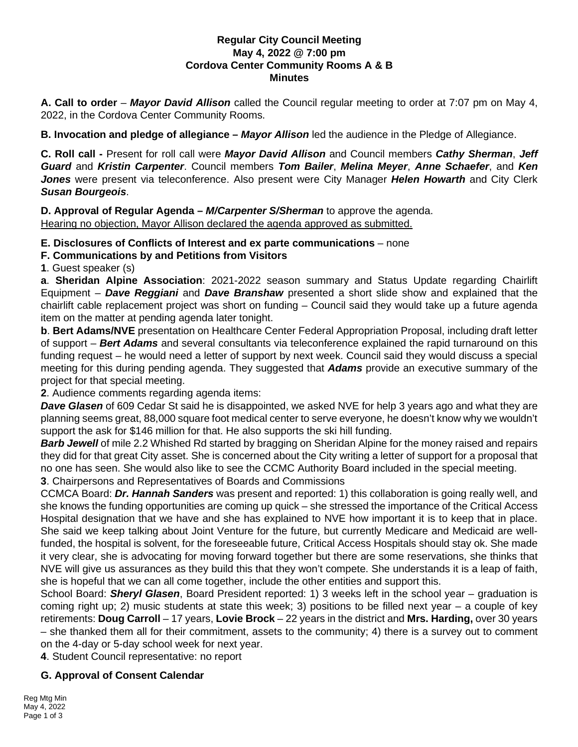#### **Regular City Council Meeting May 4, 2022 @ 7:00 pm Cordova Center Community Rooms A & B Minutes**

**A. Call to order** – *Mayor David Allison* called the Council regular meeting to order at 7:07 pm on May 4, 2022, in the Cordova Center Community Rooms.

**B. Invocation and pledge of allegiance –** *Mayor Allison* led the audience in the Pledge of Allegiance.

**C. Roll call -** Present for roll call were *Mayor David Allison* and Council members *Cathy Sherman*, *Jeff Guard* and *Kristin Carpenter*. Council members *Tom Bailer*, *Melina Meyer*, *Anne Schaefer*, and *Ken Jones* were present via teleconference. Also present were City Manager *Helen Howarth* and City Clerk *Susan Bourgeois*.

**D. Approval of Regular Agenda –** *M/Carpenter S/Sherman* to approve the agenda. Hearing no objection, Mayor Allison declared the agenda approved as submitted.

**E. Disclosures of Conflicts of Interest and ex parte communications** – none

**F. Communications by and Petitions from Visitors**

**1**. Guest speaker (s)

**a**. **Sheridan Alpine Association**: 2021-2022 season summary and Status Update regarding Chairlift Equipment – *Dave Reggiani* and *Dave Branshaw* presented a short slide show and explained that the chairlift cable replacement project was short on funding – Council said they would take up a future agenda item on the matter at pending agenda later tonight.

**b**. **Bert Adams/NVE** presentation on Healthcare Center Federal Appropriation Proposal, including draft letter of support – *Bert Adams* and several consultants via teleconference explained the rapid turnaround on this funding request – he would need a letter of support by next week. Council said they would discuss a special meeting for this during pending agenda. They suggested that *Adams* provide an executive summary of the project for that special meeting.

**2**. Audience comments regarding agenda items:

*Dave Glasen* of 609 Cedar St said he is disappointed, we asked NVE for help 3 years ago and what they are planning seems great, 88,000 square foot medical center to serve everyone, he doesn't know why we wouldn't support the ask for \$146 million for that. He also supports the ski hill funding.

*Barb Jewell* of mile 2.2 Whished Rd started by bragging on Sheridan Alpine for the money raised and repairs they did for that great City asset. She is concerned about the City writing a letter of support for a proposal that no one has seen. She would also like to see the CCMC Authority Board included in the special meeting. **3**. Chairpersons and Representatives of Boards and Commissions

CCMCA Board: *Dr. Hannah Sanders* was present and reported: 1) this collaboration is going really well, and she knows the funding opportunities are coming up quick – she stressed the importance of the Critical Access Hospital designation that we have and she has explained to NVE how important it is to keep that in place. She said we keep talking about Joint Venture for the future, but currently Medicare and Medicaid are wellfunded, the hospital is solvent, for the foreseeable future, Critical Access Hospitals should stay ok. She made it very clear, she is advocating for moving forward together but there are some reservations, she thinks that NVE will give us assurances as they build this that they won't compete. She understands it is a leap of faith, she is hopeful that we can all come together, include the other entities and support this.

School Board: *Sheryl Glasen*, Board President reported: 1) 3 weeks left in the school year – graduation is coming right up; 2) music students at state this week; 3) positions to be filled next year – a couple of key retirements: **Doug Carroll** – 17 years, **Lovie Brock** – 22 years in the district and **Mrs. Harding,** over 30 years – she thanked them all for their commitment, assets to the community; 4) there is a survey out to comment on the 4-day or 5-day school week for next year.

**4**. Student Council representative: no report

#### **G. Approval of Consent Calendar**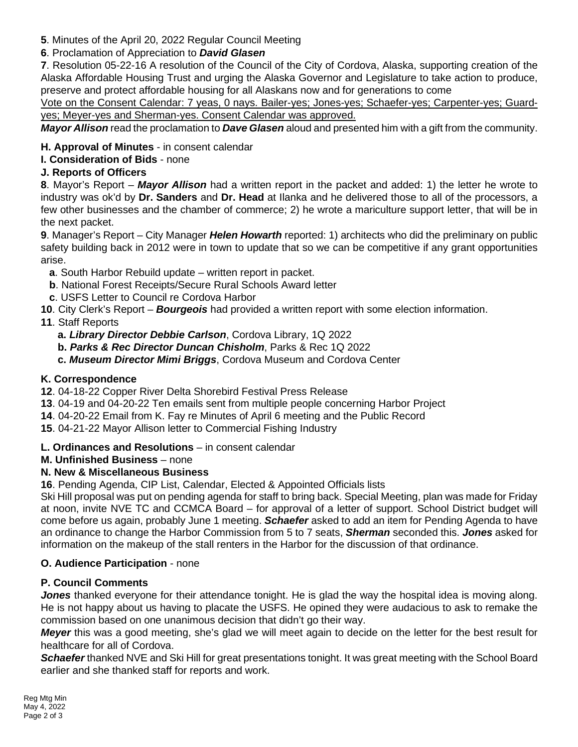**5**. Minutes of the April 20, 2022 Regular Council Meeting

# **6**. Proclamation of Appreciation to *David Glasen*

**7**. Resolution 05-22-16 A resolution of the Council of the City of Cordova, Alaska, supporting creation of the Alaska Affordable Housing Trust and urging the Alaska Governor and Legislature to take action to produce, preserve and protect affordable housing for all Alaskans now and for generations to come

Vote on the Consent Calendar: 7 yeas, 0 nays. Bailer-yes; Jones-yes; Schaefer-yes; Carpenter-yes; Guardyes; Meyer-yes and Sherman-yes. Consent Calendar was approved.

*Mayor Allison* read the proclamation to *Dave Glasen* aloud and presented him with a gift from the community.

## **H. Approval of Minutes** - in consent calendar

## **I. Consideration of Bids** - none

## **J. Reports of Officers**

**8**. Mayor's Report – *Mayor Allison* had a written report in the packet and added: 1) the letter he wrote to industry was ok'd by **Dr. Sanders** and **Dr. Head** at Ilanka and he delivered those to all of the processors, a few other businesses and the chamber of commerce; 2) he wrote a mariculture support letter, that will be in the next packet.

**9**. Manager's Report – City Manager *Helen Howarth* reported: 1) architects who did the preliminary on public safety building back in 2012 were in town to update that so we can be competitive if any grant opportunities arise.

- **a**. South Harbor Rebuild update written report in packet.
- **b**. National Forest Receipts/Secure Rural Schools Award letter
- **c**. USFS Letter to Council re Cordova Harbor
- **10**. City Clerk's Report *Bourgeois* had provided a written report with some election information.

# **11**. Staff Reports

- **a.** *Library Director Debbie Carlson*, Cordova Library, 1Q 2022
- **b.** *Parks & Rec Director Duncan Chisholm*, Parks & Rec 1Q 2022
- **c.** *Museum Director Mimi Briggs*, Cordova Museum and Cordova Center

## **K. Correspondence**

- **12**. 04-18-22 Copper River Delta Shorebird Festival Press Release
- **13**. 04-19 and 04-20-22 Ten emails sent from multiple people concerning Harbor Project
- **14**. 04-20-22 Email from K. Fay re Minutes of April 6 meeting and the Public Record
- **15**. 04-21-22 Mayor Allison letter to Commercial Fishing Industry
- **L. Ordinances and Resolutions** in consent calendar

# **M. Unfinished Business** – none

# **N. New & Miscellaneous Business**

**16**. Pending Agenda, CIP List, Calendar, Elected & Appointed Officials lists

Ski Hill proposal was put on pending agenda for staff to bring back. Special Meeting, plan was made for Friday at noon, invite NVE TC and CCMCA Board – for approval of a letter of support. School District budget will come before us again, probably June 1 meeting. *Schaefer* asked to add an item for Pending Agenda to have an ordinance to change the Harbor Commission from 5 to 7 seats, *Sherman* seconded this. *Jones* asked for information on the makeup of the stall renters in the Harbor for the discussion of that ordinance.

# **O. Audience Participation** - none

# **P. Council Comments**

*Jones* thanked everyone for their attendance tonight. He is glad the way the hospital idea is moving along. He is not happy about us having to placate the USFS. He opined they were audacious to ask to remake the commission based on one unanimous decision that didn't go their way.

*Meyer* this was a good meeting, she's glad we will meet again to decide on the letter for the best result for healthcare for all of Cordova.

*Schaefer* thanked NVE and Ski Hill for great presentations tonight. It was great meeting with the School Board earlier and she thanked staff for reports and work.